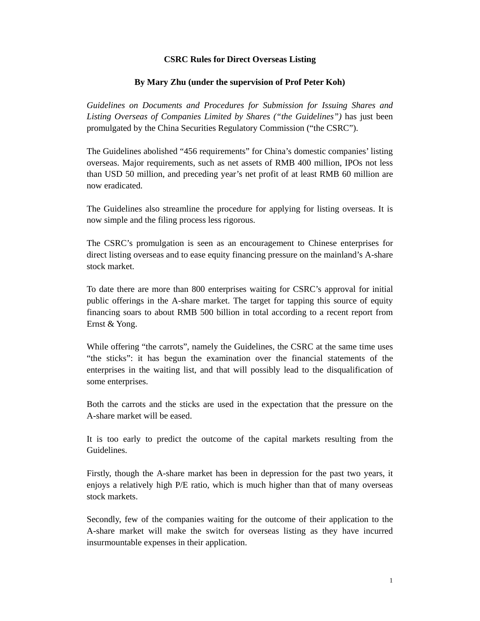## **CSRC Rules for Direct Overseas Listing**

## **By Mary Zhu (under the supervision of Prof Peter Koh)**

*Guidelines on Documents and Procedures for Submission for Issuing Shares and Listing Overseas of Companies Limited by Shares ("the Guidelines")* has just been promulgated by the China Securities Regulatory Commission ("the CSRC").

The Guidelines abolished "456 requirements" for China's domestic companies' listing overseas. Major requirements, such as net assets of RMB 400 million, IPOs not less than USD 50 million, and preceding year's net profit of at least RMB 60 million are now eradicated.

The Guidelines also streamline the procedure for applying for listing overseas. It is now simple and the filing process less rigorous.

The CSRC's promulgation is seen as an encouragement to Chinese enterprises for direct listing overseas and to ease equity financing pressure on the mainland's A-share stock market.

To date there are more than 800 enterprises waiting for CSRC's approval for initial public offerings in the A-share market. The target for tapping this source of equity financing soars to about RMB 500 billion in total according to a recent report from Ernst & Yong.

While offering "the carrots", namely the Guidelines, the CSRC at the same time uses "the sticks": it has begun the examination over the financial statements of the enterprises in the waiting list, and that will possibly lead to the disqualification of some enterprises.

Both the carrots and the sticks are used in the expectation that the pressure on the A-share market will be eased.

It is too early to predict the outcome of the capital markets resulting from the Guidelines.

Firstly, though the A-share market has been in depression for the past two years, it enjoys a relatively high P/E ratio, which is much higher than that of many overseas stock markets.

Secondly, few of the companies waiting for the outcome of their application to the A-share market will make the switch for overseas listing as they have incurred insurmountable expenses in their application.